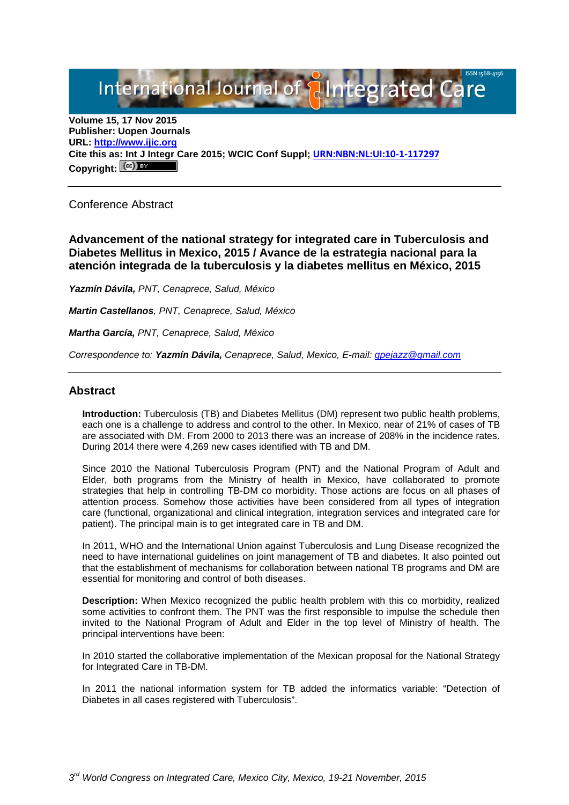# International Journal of **Plategrated Care**

**Volume 15, 17 Nov 2015 Publisher: Uopen Journals URL: [http://www.ijic.org](http://www.ijic.org/) Cite this as: Int J Integr Care 2015; WCIC Conf Suppl; [URN:NBN:NL:UI:10-1-117297](http://persistent-identifier.nl/?identifier=URN:NBN:NL:UI:10-1-117297) Copyright:**

Conference Abstract

**Advancement of the national strategy for integrated care in Tuberculosis and Diabetes Mellitus in Mexico, 2015 / Avance de la estrategia nacional para la atención integrada de la tuberculosis y la diabetes mellitus en México, 2015**

*Yazmín Dávila, PNT, Cenaprece, Salud, México* 

*Martin Castellanos, PNT, Cenaprece, Salud, México*

*Martha García, PNT, Cenaprece, Salud, México*

*Correspondence to: Yazmín Dávila, Cenaprece, Salud, Mexico, E-mail: [gpejazz@gmail.com](mailto:gpejazz@gmail.com)*

## **Abstract**

**Introduction:** Tuberculosis (TB) and Diabetes Mellitus (DM) represent two public health problems, each one is a challenge to address and control to the other. In Mexico, near of 21% of cases of TB are associated with DM. From 2000 to 2013 there was an increase of 208% in the incidence rates. During 2014 there were 4,269 new cases identified with TB and DM.

Since 2010 the National Tuberculosis Program (PNT) and the National Program of Adult and Elder, both programs from the Ministry of health in Mexico, have collaborated to promote strategies that help in controlling TB-DM co morbidity. Those actions are focus on all phases of attention process. Somehow those activities have been considered from all types of integration care (functional, organizational and clinical integration, integration services and integrated care for patient). The principal main is to get integrated care in TB and DM.

In 2011, WHO and the International Union against Tuberculosis and Lung Disease recognized the need to have international guidelines on joint management of TB and diabetes. It also pointed out that the establishment of mechanisms for collaboration between national TB programs and DM are essential for monitoring and control of both diseases.

**Description:** When Mexico recognized the public health problem with this co morbidity, realized some activities to confront them. The PNT was the first responsible to impulse the schedule then invited to the National Program of Adult and Elder in the top level of Ministry of health. The principal interventions have been:

In 2010 started the collaborative implementation of the Mexican proposal for the National Strategy for Integrated Care in TB-DM.

In 2011 the national information system for TB added the informatics variable: "Detection of Diabetes in all cases registered with Tuberculosis".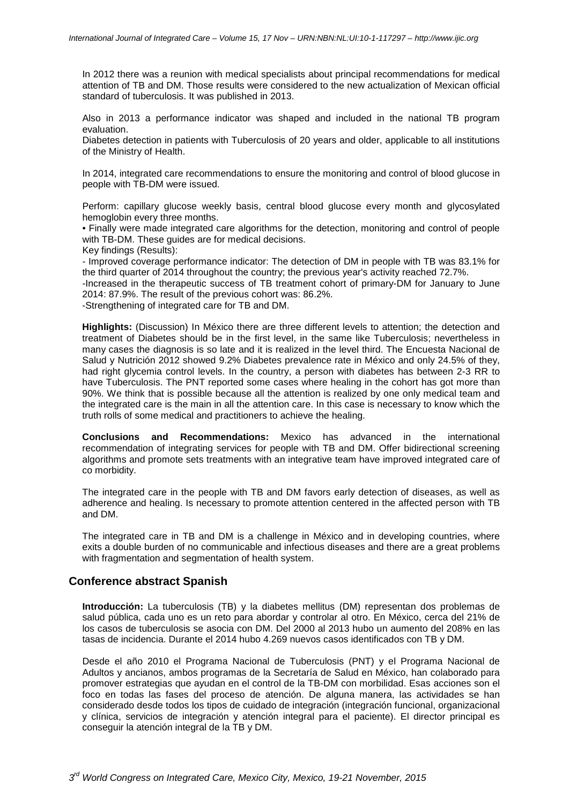In 2012 there was a reunion with medical specialists about principal recommendations for medical attention of TB and DM. Those results were considered to the new actualization of Mexican official standard of tuberculosis. It was published in 2013.

Also in 2013 a performance indicator was shaped and included in the national TB program evaluation.

Diabetes detection in patients with Tuberculosis of 20 years and older, applicable to all institutions of the Ministry of Health.

In 2014, integrated care recommendations to ensure the monitoring and control of blood glucose in people with TB-DM were issued.

Perform: capillary glucose weekly basis, central blood glucose every month and glycosylated hemoglobin every three months.

• Finally were made integrated care algorithms for the detection, monitoring and control of people with TB-DM. These guides are for medical decisions.

Key findings (Results):

- Improved coverage performance indicator: The detection of DM in people with TB was 83.1% for the third quarter of 2014 throughout the country; the previous year's activity reached 72.7%.

-Increased in the therapeutic success of TB treatment cohort of primary-DM for January to June 2014: 87.9%. The result of the previous cohort was: 86.2%.

-Strengthening of integrated care for TB and DM.

**Highlights:** (Discussion) In México there are three different levels to attention; the detection and treatment of Diabetes should be in the first level, in the same like Tuberculosis; nevertheless in many cases the diagnosis is so late and it is realized in the level third. The Encuesta Nacional de Salud y Nutrición 2012 showed 9.2% Diabetes prevalence rate in México and only 24.5% of they, had right glycemia control levels. In the country, a person with diabetes has between 2-3 RR to have Tuberculosis. The PNT reported some cases where healing in the cohort has got more than 90%. We think that is possible because all the attention is realized by one only medical team and the integrated care is the main in all the attention care. In this case is necessary to know which the truth rolls of some medical and practitioners to achieve the healing.

**Conclusions and Recommendations:** Mexico has advanced in the international recommendation of integrating services for people with TB and DM. Offer bidirectional screening algorithms and promote sets treatments with an integrative team have improved integrated care of co morbidity.

The integrated care in the people with TB and DM favors early detection of diseases, as well as adherence and healing. Is necessary to promote attention centered in the affected person with TB and DM.

The integrated care in TB and DM is a challenge in México and in developing countries, where exits a double burden of no communicable and infectious diseases and there are a great problems with fragmentation and segmentation of health system.

#### **Conference abstract Spanish**

**Introducción:** La tuberculosis (TB) y la diabetes mellitus (DM) representan dos problemas de salud pública, cada uno es un reto para abordar y controlar al otro. En México, cerca del 21% de los casos de tuberculosis se asocia con DM. Del 2000 al 2013 hubo un aumento del 208% en las tasas de incidencia. Durante el 2014 hubo 4.269 nuevos casos identificados con TB y DM.

Desde el año 2010 el Programa Nacional de Tuberculosis (PNT) y el Programa Nacional de Adultos y ancianos, ambos programas de la Secretaría de Salud en México, han colaborado para promover estrategias que ayudan en el control de la TB-DM con morbilidad. Esas acciones son el foco en todas las fases del proceso de atención. De alguna manera, las actividades se han considerado desde todos los tipos de cuidado de integración (integración funcional, organizacional y clínica, servicios de integración y atención integral para el paciente). El director principal es conseguir la atención integral de la TB y DM.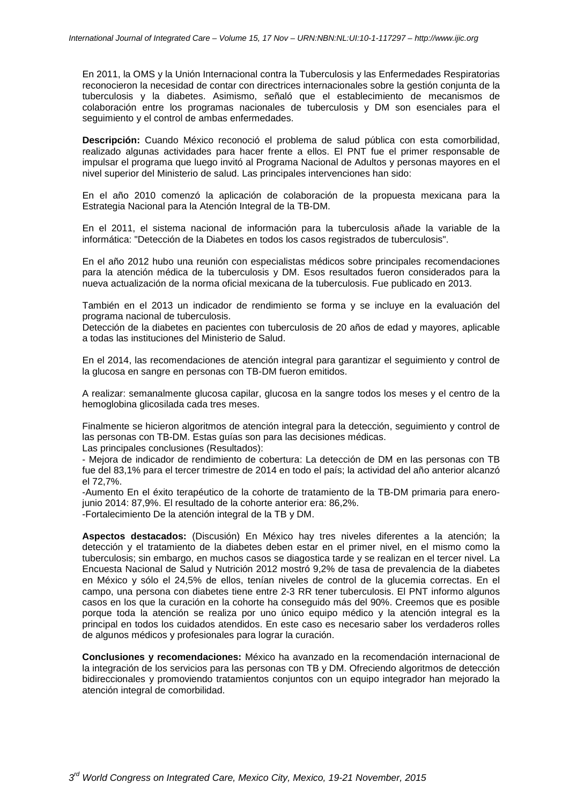En 2011, la OMS y la Unión Internacional contra la Tuberculosis y las Enfermedades Respiratorias reconocieron la necesidad de contar con directrices internacionales sobre la gestión conjunta de la tuberculosis y la diabetes. Asimismo, señaló que el establecimiento de mecanismos de colaboración entre los programas nacionales de tuberculosis y DM son esenciales para el seguimiento y el control de ambas enfermedades.

**Descripción:** Cuando México reconoció el problema de salud pública con esta comorbilidad, realizado algunas actividades para hacer frente a ellos. El PNT fue el primer responsable de impulsar el programa que luego invitó al Programa Nacional de Adultos y personas mayores en el nivel superior del Ministerio de salud. Las principales intervenciones han sido:

En el año 2010 comenzó la aplicación de colaboración de la propuesta mexicana para la Estrategia Nacional para la Atención Integral de la TB-DM.

En el 2011, el sistema nacional de información para la tuberculosis añade la variable de la informática: "Detección de la Diabetes en todos los casos registrados de tuberculosis".

En el año 2012 hubo una reunión con especialistas médicos sobre principales recomendaciones para la atención médica de la tuberculosis y DM. Esos resultados fueron considerados para la nueva actualización de la norma oficial mexicana de la tuberculosis. Fue publicado en 2013.

También en el 2013 un indicador de rendimiento se forma y se incluye en la evaluación del programa nacional de tuberculosis.

Detección de la diabetes en pacientes con tuberculosis de 20 años de edad y mayores, aplicable a todas las instituciones del Ministerio de Salud.

En el 2014, las recomendaciones de atención integral para garantizar el seguimiento y control de la glucosa en sangre en personas con TB-DM fueron emitidos.

A realizar: semanalmente glucosa capilar, glucosa en la sangre todos los meses y el centro de la hemoglobina glicosilada cada tres meses.

Finalmente se hicieron algoritmos de atención integral para la detección, seguimiento y control de las personas con TB-DM. Estas guías son para las decisiones médicas.

Las principales conclusiones (Resultados):

- Mejora de indicador de rendimiento de cobertura: La detección de DM en las personas con TB fue del 83,1% para el tercer trimestre de 2014 en todo el país; la actividad del año anterior alcanzó el 72,7%.

-Aumento En el éxito terapéutico de la cohorte de tratamiento de la TB-DM primaria para enerojunio 2014: 87,9%. El resultado de la cohorte anterior era: 86,2%. -Fortalecimiento De la atención integral de la TB y DM.

**Aspectos destacados:** (Discusión) En México hay tres niveles diferentes a la atención; la detección y el tratamiento de la diabetes deben estar en el primer nivel, en el mismo como la tuberculosis; sin embargo, en muchos casos se diagostica tarde y se realizan en el tercer nivel. La Encuesta Nacional de Salud y Nutrición 2012 mostró 9,2% de tasa de prevalencia de la diabetes en México y sólo el 24,5% de ellos, tenían niveles de control de la glucemia correctas. En el campo, una persona con diabetes tiene entre 2-3 RR tener tuberculosis. El PNT informo algunos casos en los que la curación en la cohorte ha conseguido más del 90%. Creemos que es posible porque toda la atención se realiza por uno único equipo médico y la atención integral es la principal en todos los cuidados atendidos. En este caso es necesario saber los verdaderos rolles de algunos médicos y profesionales para lograr la curación.

**Conclusiones y recomendaciones:** México ha avanzado en la recomendación internacional de la integración de los servicios para las personas con TB y DM. Ofreciendo algoritmos de detección bidireccionales y promoviendo tratamientos conjuntos con un equipo integrador han mejorado la atención integral de comorbilidad.